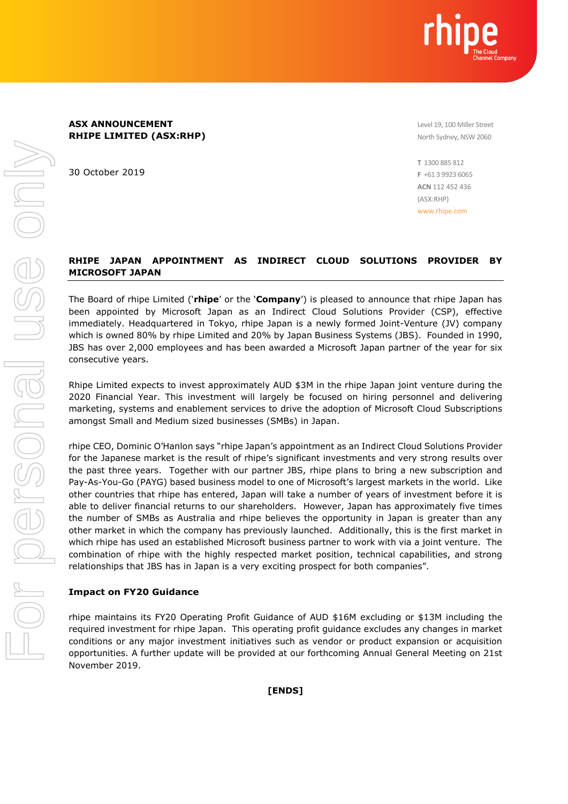

Level 19, 100 Miller Street North Sydney, NSW 2060

30 October 2019

**T** 1300 885 812 **F** +61 3 9923 6065 **ACN** 112 452 436 (ASX:RHP) www.rhipe.com

## **RHIPE JAPAN APPOINTMENT AS INDIRECT CLOUD SOLUTIONS PROVIDER BY MICROSOFT JAPAN**

The Board of rhipe Limited ('**rhipe**' or the '**Company**') is pleased to announce that rhipe Japan has been appointed by Microsoft Japan as an Indirect Cloud Solutions Provider (CSP), effective immediately. Headquartered in Tokyo, rhipe Japan is a newly formed Joint-Venture (JV) company which is owned 80% by rhipe Limited and 20% by Japan Business Systems (JBS). Founded in 1990, JBS has over 2,000 employees and has been awarded a Microsoft Japan partner of the year for six consecutive years.

Rhipe Limited expects to invest approximately AUD \$3M in the rhipe Japan joint venture during the 2020 Financial Year. This investment will largely be focused on hiring personnel and delivering marketing, systems and enablement services to drive the adoption of Microsoft Cloud Subscriptions amongst Small and Medium sized businesses (SMBs) in Japan.

rhipe CEO, Dominic O'Hanlon says "rhipe Japan's appointment as an Indirect Cloud Solutions Provider for the Japanese market is the result of rhipe's significant investments and very strong results over the past three years. Together with our partner JBS, rhipe plans to bring a new subscription and Pay-As-You-Go (PAYG) based business model to one of Microsoft's largest markets in the world. Like other countries that rhipe has entered, Japan will take a number of years of investment before it is able to deliver financial returns to our shareholders. However, Japan has approximately five times the number of SMBs as Australia and rhipe believes the opportunity in Japan is greater than any other market in which the company has previously launched. Additionally, this is the first market in which rhipe has used an established Microsoft business partner to work with via a joint venture. The combination of rhipe with the highly respected market position, technical capabilities, and strong relationships that JBS has in Japan is a very exciting prospect for both companies".

## **Impact on FY20 Guidance**

rhipe maintains its FY20 Operating Profit Guidance of AUD \$16M excluding or \$13M including the required investment for rhipe Japan. This operating profit guidance excludes any changes in market conditions or any major investment initiatives such as vendor or product expansion or acquisition opportunities. A further update will be provided at our forthcoming Annual General Meeting on 21st November 2019.

**[ENDS]**